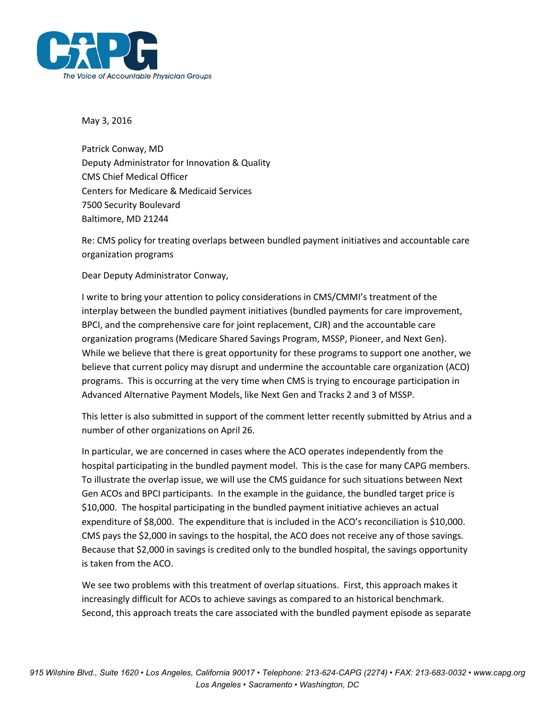

May 3, 2016

Patrick Conway, MD Deputy Administrator for Innovation & Quality CMS Chief Medical Officer Centers for Medicare & Medicaid Services 7500 Security Boulevard Baltimore, MD 21244

Re: CMS policy for treating overlaps between bundled payment initiatives and accountable care organization programs

Dear Deputy Administrator Conway,

I write to bring your attention to policy considerations in CMS/CMMI's treatment of the interplay between the bundled payment initiatives (bundled payments for care improvement, BPCI, and the comprehensive care for joint replacement, CJR) and the accountable care organization programs (Medicare Shared Savings Program, MSSP, Pioneer, and Next Gen). While we believe that there is great opportunity for these programs to support one another, we believe that current policy may disrupt and undermine the accountable care organization (ACO) programs. This is occurring at the very time when CMS is trying to encourage participation in Advanced Alternative Payment Models, like Next Gen and Tracks 2 and 3 of MSSP.

This letter is also submitted in support of the comment letter recently submitted by Atrius and a number of other organizations on April 26.

In particular, we are concerned in cases where the ACO operates independently from the hospital participating in the bundled payment model. This is the case for many CAPG members. To illustrate the overlap issue, we will use the CMS guidance for such situations between Next Gen ACOs and BPCI participants. In the example in the guidance, the bundled target price is \$10,000. The hospital participating in the bundled payment initiative achieves an actual expenditure of \$8,000. The expenditure that is included in the ACO's reconciliation is \$10,000. CMS pays the \$2,000 in savings to the hospital, the ACO does not receive any of those savings. Because that \$2,000 in savings is credited only to the bundled hospital, the savings opportunity is taken from the ACO.

We see two problems with this treatment of overlap situations. First, this approach makes it increasingly difficult for ACOs to achieve savings as compared to an historical benchmark. Second, this approach treats the care associated with the bundled payment episode as separate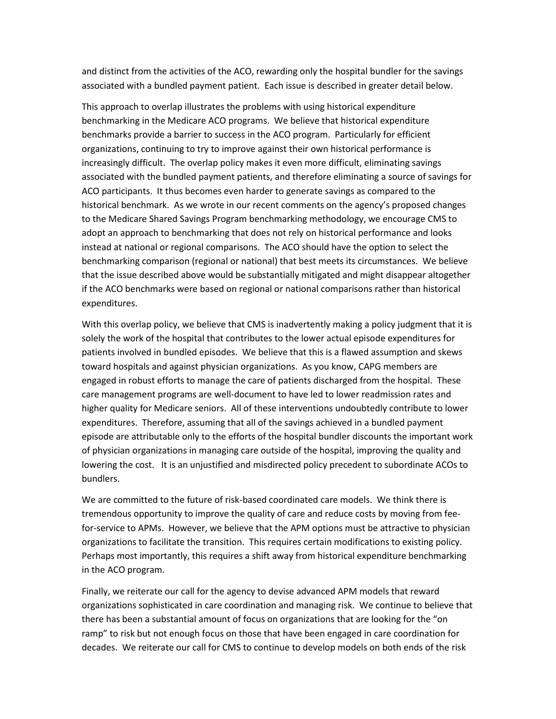and distinct from the activities of the ACO, rewarding only the hospital bundler for the savings associated with a bundled payment patient. Each issue is described in greater detail below.

This approach to overlap illustrates the problems with using historical expenditure benchmarking in the Medicare ACO programs. We believe that historical expenditure benchmarks provide a barrier to success in the ACO program. Particularly for efficient organizations, continuing to try to improve against their own historical performance is increasingly difficult. The overlap policy makes it even more difficult, eliminating savings associated with the bundled payment patients, and therefore eliminating a source of savings for ACO participants. It thus becomes even harder to generate savings as compared to the historical benchmark. As we wrote in our recent comments on the agency's proposed changes to the Medicare Shared Savings Program benchmarking methodology, we encourage CMS to adopt an approach to benchmarking that does not rely on historical performance and looks instead at national or regional comparisons. The ACO should have the option to select the benchmarking comparison (regional or national) that best meets its circumstances. We believe that the issue described above would be substantially mitigated and might disappear altogether if the ACO benchmarks were based on regional or national comparisons rather than historical expenditures.

With this overlap policy, we believe that CMS is inadvertently making a policy judgment that it is solely the work of the hospital that contributes to the lower actual episode expenditures for patients involved in bundled episodes. We believe that this is a flawed assumption and skews toward hospitals and against physician organizations. As you know, CAPG members are engaged in robust efforts to manage the care of patients discharged from the hospital. These care management programs are well-document to have led to lower readmission rates and higher quality for Medicare seniors. All of these interventions undoubtedly contribute to lower expenditures. Therefore, assuming that all of the savings achieved in a bundled payment episode are attributable only to the efforts of the hospital bundler discounts the important work of physician organizations in managing care outside of the hospital, improving the quality and lowering the cost. It is an unjustified and misdirected policy precedent to subordinate ACOs to bundlers.

We are committed to the future of risk-based coordinated care models. We think there is tremendous opportunity to improve the quality of care and reduce costs by moving from feefor-service to APMs. However, we believe that the APM options must be attractive to physician organizations to facilitate the transition. This requires certain modifications to existing policy. Perhaps most importantly, this requires a shift away from historical expenditure benchmarking in the ACO program.

Finally, we reiterate our call for the agency to devise advanced APM models that reward organizations sophisticated in care coordination and managing risk. We continue to believe that there has been a substantial amount of focus on organizations that are looking for the "on ramp" to risk but not enough focus on those that have been engaged in care coordination for decades. We reiterate our call for CMS to continue to develop models on both ends of the risk